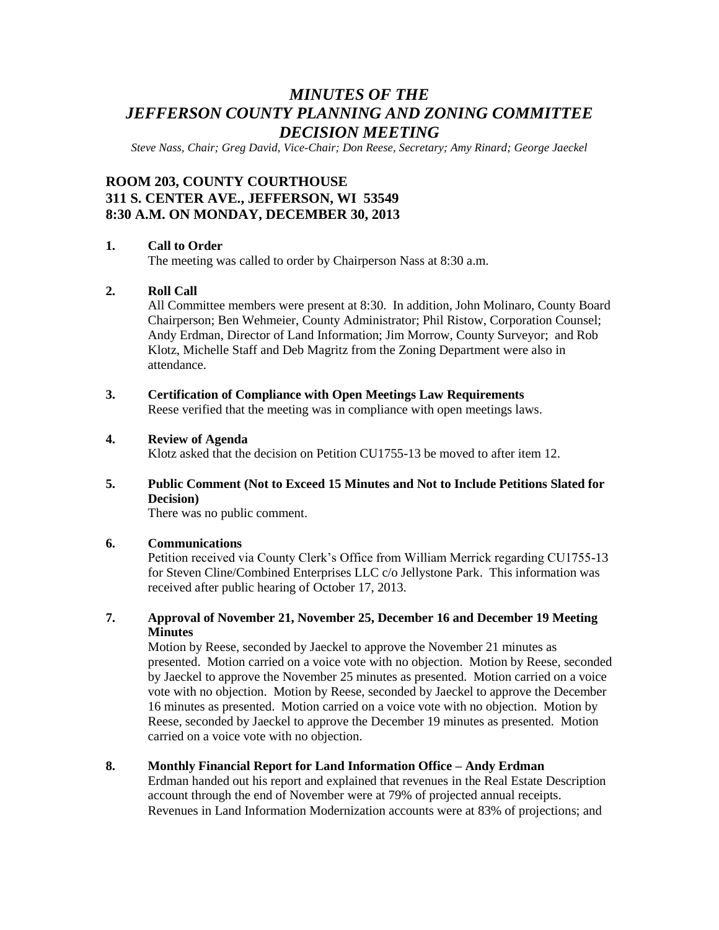# *MINUTES OF THE JEFFERSON COUNTY PLANNING AND ZONING COMMITTEE DECISION MEETING*

*Steve Nass, Chair; Greg David, Vice-Chair; Don Reese, Secretary; Amy Rinard; George Jaeckel*

## **ROOM 203, COUNTY COURTHOUSE 311 S. CENTER AVE., JEFFERSON, WI 53549 8:30 A.M. ON MONDAY, DECEMBER 30, 2013**

## **1. Call to Order**

The meeting was called to order by Chairperson Nass at 8:30 a.m.

## **2. Roll Call**

All Committee members were present at 8:30. In addition, John Molinaro, County Board Chairperson; Ben Wehmeier, County Administrator; Phil Ristow, Corporation Counsel; Andy Erdman, Director of Land Information; Jim Morrow, County Surveyor; and Rob Klotz, Michelle Staff and Deb Magritz from the Zoning Department were also in attendance.

**3. Certification of Compliance with Open Meetings Law Requirements** Reese verified that the meeting was in compliance with open meetings laws.

#### **4. Review of Agenda**

Klotz asked that the decision on Petition CU1755-13 be moved to after item 12.

**5. Public Comment (Not to Exceed 15 Minutes and Not to Include Petitions Slated for Decision)**

There was no public comment.

#### **6. Communications**

Petition received via County Clerk's Office from William Merrick regarding CU1755-13 for Steven Cline/Combined Enterprises LLC c/o Jellystone Park. This information was received after public hearing of October 17, 2013.

#### **7. Approval of November 21, November 25, December 16 and December 19 Meeting Minutes**

Motion by Reese, seconded by Jaeckel to approve the November 21 minutes as presented. Motion carried on a voice vote with no objection. Motion by Reese, seconded by Jaeckel to approve the November 25 minutes as presented. Motion carried on a voice vote with no objection. Motion by Reese, seconded by Jaeckel to approve the December 16 minutes as presented. Motion carried on a voice vote with no objection. Motion by Reese, seconded by Jaeckel to approve the December 19 minutes as presented. Motion carried on a voice vote with no objection.

## **8. Monthly Financial Report for Land Information Office – Andy Erdman**

Erdman handed out his report and explained that revenues in the Real Estate Description account through the end of November were at 79% of projected annual receipts. Revenues in Land Information Modernization accounts were at 83% of projections; and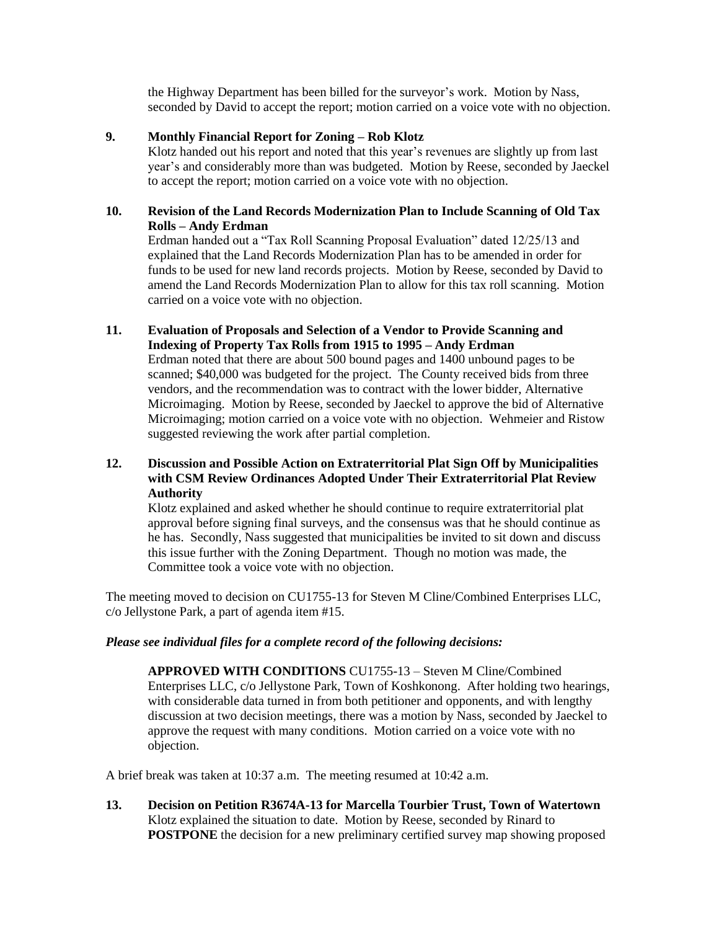the Highway Department has been billed for the surveyor's work. Motion by Nass, seconded by David to accept the report; motion carried on a voice vote with no objection.

#### **9. Monthly Financial Report for Zoning – Rob Klotz**

Klotz handed out his report and noted that this year's revenues are slightly up from last year's and considerably more than was budgeted. Motion by Reese, seconded by Jaeckel to accept the report; motion carried on a voice vote with no objection.

#### **10. Revision of the Land Records Modernization Plan to Include Scanning of Old Tax Rolls – Andy Erdman**

Erdman handed out a "Tax Roll Scanning Proposal Evaluation" dated 12/25/13 and explained that the Land Records Modernization Plan has to be amended in order for funds to be used for new land records projects. Motion by Reese, seconded by David to amend the Land Records Modernization Plan to allow for this tax roll scanning. Motion carried on a voice vote with no objection.

## **11. Evaluation of Proposals and Selection of a Vendor to Provide Scanning and Indexing of Property Tax Rolls from 1915 to 1995 – Andy Erdman**

Erdman noted that there are about 500 bound pages and 1400 unbound pages to be scanned; \$40,000 was budgeted for the project. The County received bids from three vendors, and the recommendation was to contract with the lower bidder, Alternative Microimaging. Motion by Reese, seconded by Jaeckel to approve the bid of Alternative Microimaging; motion carried on a voice vote with no objection. Wehmeier and Ristow suggested reviewing the work after partial completion.

## **12. Discussion and Possible Action on Extraterritorial Plat Sign Off by Municipalities with CSM Review Ordinances Adopted Under Their Extraterritorial Plat Review Authority**

Klotz explained and asked whether he should continue to require extraterritorial plat approval before signing final surveys, and the consensus was that he should continue as he has. Secondly, Nass suggested that municipalities be invited to sit down and discuss this issue further with the Zoning Department. Though no motion was made, the Committee took a voice vote with no objection.

The meeting moved to decision on CU1755-13 for Steven M Cline/Combined Enterprises LLC, c/o Jellystone Park, a part of agenda item #15.

## *Please see individual files for a complete record of the following decisions:*

**APPROVED WITH CONDITIONS** CU1755-13 – Steven M Cline/Combined Enterprises LLC, c/o Jellystone Park, Town of Koshkonong. After holding two hearings, with considerable data turned in from both petitioner and opponents, and with lengthy discussion at two decision meetings, there was a motion by Nass, seconded by Jaeckel to approve the request with many conditions. Motion carried on a voice vote with no objection.

A brief break was taken at 10:37 a.m. The meeting resumed at 10:42 a.m.

**13. Decision on Petition R3674A-13 for Marcella Tourbier Trust, Town of Watertown** Klotz explained the situation to date. Motion by Reese, seconded by Rinard to **POSTPONE** the decision for a new preliminary certified survey map showing proposed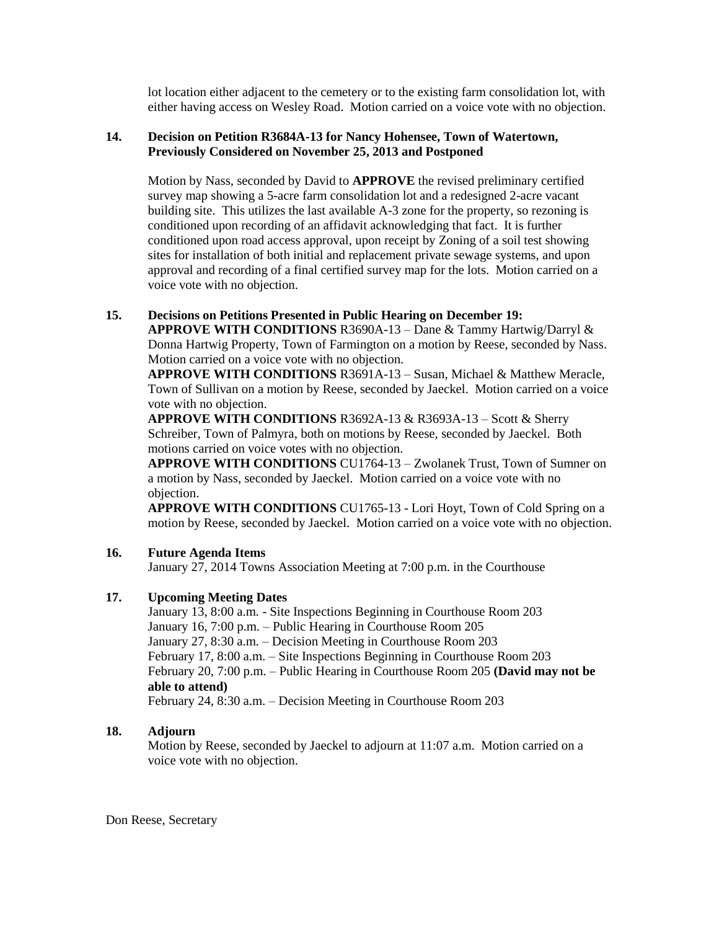lot location either adjacent to the cemetery or to the existing farm consolidation lot, with either having access on Wesley Road. Motion carried on a voice vote with no objection.

## **14. Decision on Petition R3684A-13 for Nancy Hohensee, Town of Watertown, Previously Considered on November 25, 2013 and Postponed**

Motion by Nass, seconded by David to **APPROVE** the revised preliminary certified survey map showing a 5-acre farm consolidation lot and a redesigned 2-acre vacant building site. This utilizes the last available A-3 zone for the property, so rezoning is conditioned upon recording of an affidavit acknowledging that fact. It is further conditioned upon road access approval, upon receipt by Zoning of a soil test showing sites for installation of both initial and replacement private sewage systems, and upon approval and recording of a final certified survey map for the lots. Motion carried on a voice vote with no objection.

## **15. Decisions on Petitions Presented in Public Hearing on December 19:**

**APPROVE WITH CONDITIONS** R3690A-13 – Dane & Tammy Hartwig/Darryl & Donna Hartwig Property, Town of Farmington on a motion by Reese, seconded by Nass. Motion carried on a voice vote with no objection.

**APPROVE WITH CONDITIONS** R3691A-13 – Susan, Michael & Matthew Meracle, Town of Sullivan on a motion by Reese, seconded by Jaeckel. Motion carried on a voice vote with no objection.

**APPROVE WITH CONDITIONS** R3692A-13 & R3693A-13 – Scott & Sherry Schreiber, Town of Palmyra, both on motions by Reese, seconded by Jaeckel. Both motions carried on voice votes with no objection.

**APPROVE WITH CONDITIONS** CU1764-13 – Zwolanek Trust, Town of Sumner on a motion by Nass, seconded by Jaeckel. Motion carried on a voice vote with no objection.

**APPROVE WITH CONDITIONS** CU1765-13 - Lori Hoyt, Town of Cold Spring on a motion by Reese, seconded by Jaeckel. Motion carried on a voice vote with no objection.

## **16. Future Agenda Items**

January 27, 2014 Towns Association Meeting at 7:00 p.m. in the Courthouse

## **17. Upcoming Meeting Dates**

January 13, 8:00 a.m. - Site Inspections Beginning in Courthouse Room 203 January 16, 7:00 p.m. – Public Hearing in Courthouse Room 205 January 27, 8:30 a.m. – Decision Meeting in Courthouse Room 203 February 17, 8:00 a.m. – Site Inspections Beginning in Courthouse Room 203 February 20, 7:00 p.m. – Public Hearing in Courthouse Room 205 **(David may not be able to attend)**

February 24, 8:30 a.m. – Decision Meeting in Courthouse Room 203

## **18. Adjourn**

Motion by Reese, seconded by Jaeckel to adjourn at 11:07 a.m. Motion carried on a voice vote with no objection.

Don Reese, Secretary